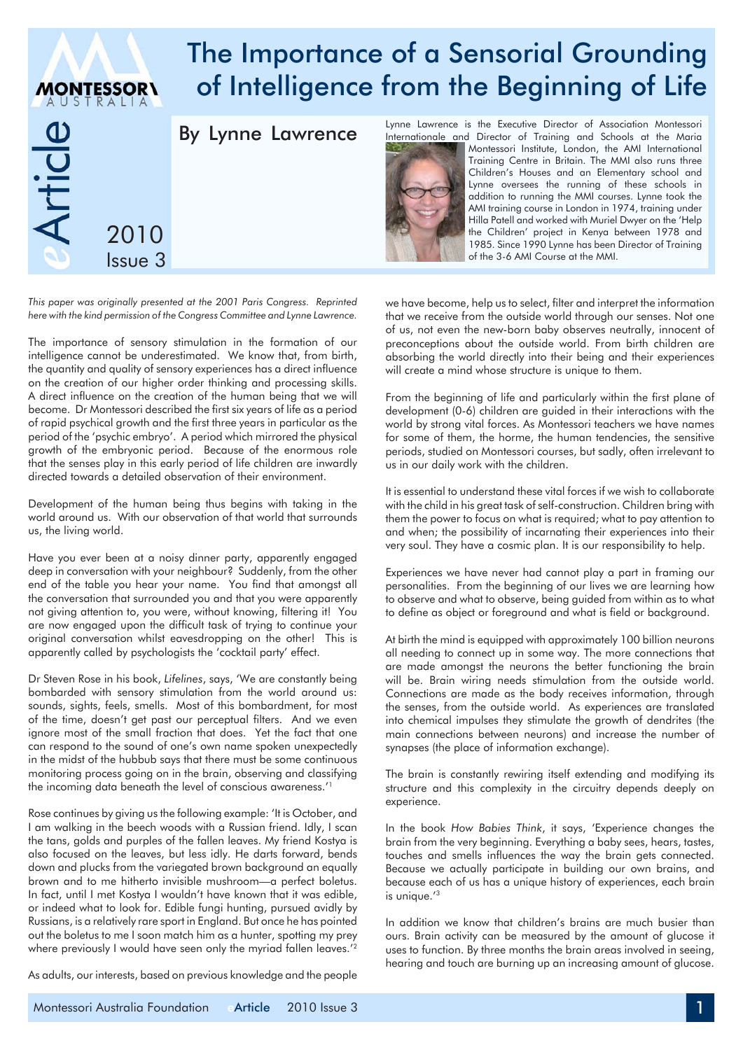# The Importance of a Sensorial Grounding of Intelligence from the Beginning of Life **MONTESSOR\** Lynne Lawrence is the Executive Director of Association Montessori By Lynne Lawrence e<br>Ticle Internationale and Director of Training and Schools at the Maria Montessori Institute, London, the AMI International Training Centre in Britain. The MMI also runs three Children's Houses and an Elementary school and Lynne oversees the running of these schools in addition to running the MMI courses. Lynne took the AMI training course in London in 1974, training under Hilla Patell and worked with Muriel Dwyer on the 'Help 2010 the Children' project in Kenya between 1978 and 1985. Since 1990 Lynne has been Director of Training of the 3-6 AMI Course at the MMI. Issue 3

*This paper was originally presented at the 2001 Paris Congress. Reprinted here with the kind permission of the Congress Committee and Lynne Lawrence.*

The importance of sensory stimulation in the formation of our intelligence cannot be underestimated. We know that, from birth, the quantity and quality of sensory experiences has a direct influence on the creation of our higher order thinking and processing skills. A direct influence on the creation of the human being that we will become. Dr Montessori described the first six years of life as a period of rapid psychical growth and the first three years in particular as the period of the 'psychic embryo'. A period which mirrored the physical growth of the embryonic period. Because of the enormous role that the senses play in this early period of life children are inwardly directed towards a detailed observation of their environment.

Development of the human being thus begins with taking in the world around us. With our observation of that world that surrounds us, the living world.

Have you ever been at a noisy dinner party, apparently engaged deep in conversation with your neighbour? Suddenly, from the other end of the table you hear your name. You find that amongst all the conversation that surrounded you and that you were apparently not giving attention to, you were, without knowing, filtering it! You are now engaged upon the difficult task of trying to continue your original conversation whilst eavesdropping on the other! This is apparently called by psychologists the 'cocktail party' effect.

Dr Steven Rose in his book, *Lifelines*, says, 'We are constantly being bombarded with sensory stimulation from the world around us: sounds, sights, feels, smells. Most of this bombardment, for most of the time, doesn't get past our perceptual filters. And we even ignore most of the small fraction that does. Yet the fact that one can respond to the sound of one's own name spoken unexpectedly in the midst of the hubbub says that there must be some continuous monitoring process going on in the brain, observing and classifying the incoming data beneath the level of conscious awareness.'1

Rose continues by giving us the following example: 'It is October, and I am walking in the beech woods with a Russian friend. Idly, I scan the tans, golds and purples of the fallen leaves. My friend Kostya is also focused on the leaves, but less idly. He darts forward, bends down and plucks from the variegated brown background an equally brown and to me hitherto invisible mushroom—a perfect boletus. In fact, until I met Kostya I wouldn't have known that it was edible, or indeed what to look for. Edible fungi hunting, pursued avidly by Russians, is a relatively rare sport in England. But once he has pointed out the boletus to me I soon match him as a hunter, spotting my prey where previously I would have seen only the myriad fallen leaves.<sup>'2</sup>

As adults, our interests, based on previous knowledge and the people

we have become, help us to select, filter and interpret the information that we receive from the outside world through our senses. Not one of us, not even the new-born baby observes neutrally, innocent of preconceptions about the outside world. From birth children are absorbing the world directly into their being and their experiences will create a mind whose structure is unique to them.

From the beginning of life and particularly within the first plane of development (0-6) children are guided in their interactions with the world by strong vital forces. As Montessori teachers we have names for some of them, the horme, the human tendencies, the sensitive periods, studied on Montessori courses, but sadly, often irrelevant to us in our daily work with the children.

It is essential to understand these vital forces if we wish to collaborate with the child in his great task of self-construction. Children bring with them the power to focus on what is required; what to pay attention to and when; the possibility of incarnating their experiences into their very soul. They have a cosmic plan. It is our responsibility to help.

Experiences we have never had cannot play a part in framing our personalities. From the beginning of our lives we are learning how to observe and what to observe, being guided from within as to what to define as object or foreground and what is field or background.

At birth the mind is equipped with approximately 100 billion neurons all needing to connect up in some way. The more connections that are made amongst the neurons the better functioning the brain will be. Brain wiring needs stimulation from the outside world. Connections are made as the body receives information, through the senses, from the outside world. As experiences are translated into chemical impulses they stimulate the growth of dendrites (the main connections between neurons) and increase the number of synapses (the place of information exchange).

The brain is constantly rewiring itself extending and modifying its structure and this complexity in the circuitry depends deeply on experience.

In the book *How Babies Think*, it says, 'Experience changes the brain from the very beginning. Everything a baby sees, hears, tastes, touches and smells influences the way the brain gets connected. Because we actually participate in building our own brains, and because each of us has a unique history of experiences, each brain is unique.'3

In addition we know that children's brains are much busier than ours. Brain activity can be measured by the amount of glucose it uses to function. By three months the brain areas involved in seeing, hearing and touch are burning up an increasing amount of glucose.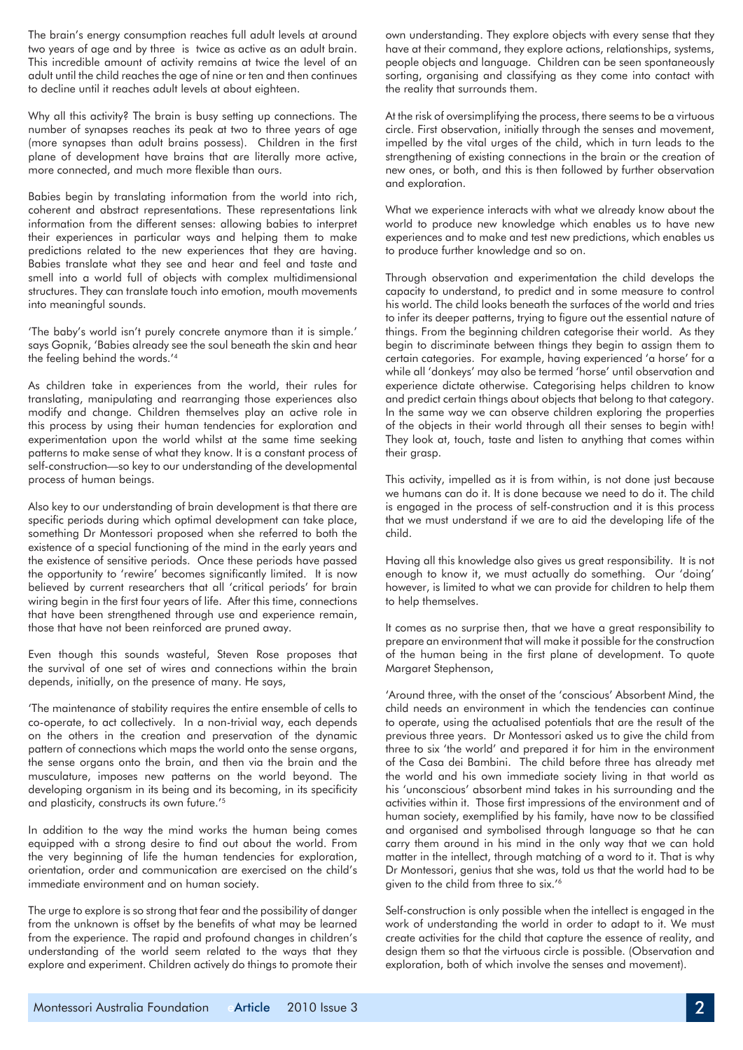The brain's energy consumption reaches full adult levels at around two years of age and by three is twice as active as an adult brain. This incredible amount of activity remains at twice the level of an adult until the child reaches the age of nine or ten and then continues to decline until it reaches adult levels at about eighteen.

Why all this activity? The brain is busy setting up connections. The number of synapses reaches its peak at two to three years of age (more synapses than adult brains possess). Children in the first plane of development have brains that are literally more active, more connected, and much more flexible than ours.

Babies begin by translating information from the world into rich, coherent and abstract representations. These representations link information from the different senses: allowing babies to interpret their experiences in particular ways and helping them to make predictions related to the new experiences that they are having. Babies translate what they see and hear and feel and taste and smell into a world full of objects with complex multidimensional structures. They can translate touch into emotion, mouth movements into meaningful sounds.

'The baby's world isn't purely concrete anymore than it is simple.' says Gopnik, 'Babies already see the soul beneath the skin and hear the feeling behind the words.'4

As children take in experiences from the world, their rules for translating, manipulating and rearranging those experiences also modify and change. Children themselves play an active role in this process by using their human tendencies for exploration and experimentation upon the world whilst at the same time seeking patterns to make sense of what they know. It is a constant process of self-construction—so key to our understanding of the developmental process of human beings.

Also key to our understanding of brain development is that there are specific periods during which optimal development can take place, something Dr Montessori proposed when she referred to both the existence of a special functioning of the mind in the early years and the existence of sensitive periods. Once these periods have passed the opportunity to 'rewire' becomes significantly limited. It is now believed by current researchers that all 'critical periods' for brain wiring begin in the first four years of life. After this time, connections that have been strengthened through use and experience remain, those that have not been reinforced are pruned away.

Even though this sounds wasteful, Steven Rose proposes that the survival of one set of wires and connections within the brain depends, initially, on the presence of many. He says,

'The maintenance of stability requires the entire ensemble of cells to co-operate, to act collectively. In a non-trivial way, each depends on the others in the creation and preservation of the dynamic pattern of connections which maps the world onto the sense organs, the sense organs onto the brain, and then via the brain and the musculature, imposes new patterns on the world beyond. The developing organism in its being and its becoming, in its specificity and plasticity, constructs its own future.'<sup>5</sup>

In addition to the way the mind works the human being comes equipped with a strong desire to find out about the world. From the very beginning of life the human tendencies for exploration, orientation, order and communication are exercised on the child's immediate environment and on human society.

The urge to explore is so strong that fear and the possibility of danger from the unknown is offset by the benefits of what may be learned from the experience. The rapid and profound changes in children's understanding of the world seem related to the ways that they explore and experiment. Children actively do things to promote their

own understanding. They explore objects with every sense that they have at their command, they explore actions, relationships, systems, people objects and language. Children can be seen spontaneously sorting, organising and classifying as they come into contact with the reality that surrounds them.

At the risk of oversimplifying the process, there seems to be a virtuous circle. First observation, initially through the senses and movement, impelled by the vital urges of the child, which in turn leads to the strengthening of existing connections in the brain or the creation of new ones, or both, and this is then followed by further observation and exploration.

What we experience interacts with what we already know about the world to produce new knowledge which enables us to have new experiences and to make and test new predictions, which enables us to produce further knowledge and so on.

Through observation and experimentation the child develops the capacity to understand, to predict and in some measure to control his world. The child looks beneath the surfaces of the world and tries to infer its deeper patterns, trying to figure out the essential nature of things. From the beginning children categorise their world. As they begin to discriminate between things they begin to assign them to certain categories. For example, having experienced 'a horse' for a while all 'donkeys' may also be termed 'horse' until observation and experience dictate otherwise. Categorising helps children to know and predict certain things about objects that belong to that category. In the same way we can observe children exploring the properties of the objects in their world through all their senses to begin with! They look at, touch, taste and listen to anything that comes within their arasp.

This activity, impelled as it is from within, is not done just because we humans can do it. It is done because we need to do it. The child is engaged in the process of self-construction and it is this process that we must understand if we are to aid the developing life of the child.

Having all this knowledge also gives us great responsibility. It is not enough to know it, we must actually do something. Our 'doing' however, is limited to what we can provide for children to help them to help themselves.

It comes as no surprise then, that we have a great responsibility to prepare an environment that will make it possible for the construction of the human being in the first plane of development. To quote Margaret Stephenson,

'Around three, with the onset of the 'conscious' Absorbent Mind, the child needs an environment in which the tendencies can continue to operate, using the actualised potentials that are the result of the previous three years. Dr Montessori asked us to give the child from three to six 'the world' and prepared it for him in the environment of the Casa dei Bambini. The child before three has already met the world and his own immediate society living in that world as his 'unconscious' absorbent mind takes in his surrounding and the activities within it. Those first impressions of the environment and of human society, exemplified by his family, have now to be classified and organised and symbolised through language so that he can carry them around in his mind in the only way that we can hold matter in the intellect, through matching of a word to it. That is why Dr Montessori, genius that she was, told us that the world had to be given to the child from three to six.'6

Self-construction is only possible when the intellect is engaged in the work of understanding the world in order to adapt to it. We must create activities for the child that capture the essence of reality, and design them so that the virtuous circle is possible. (Observation and exploration, both of which involve the senses and movement).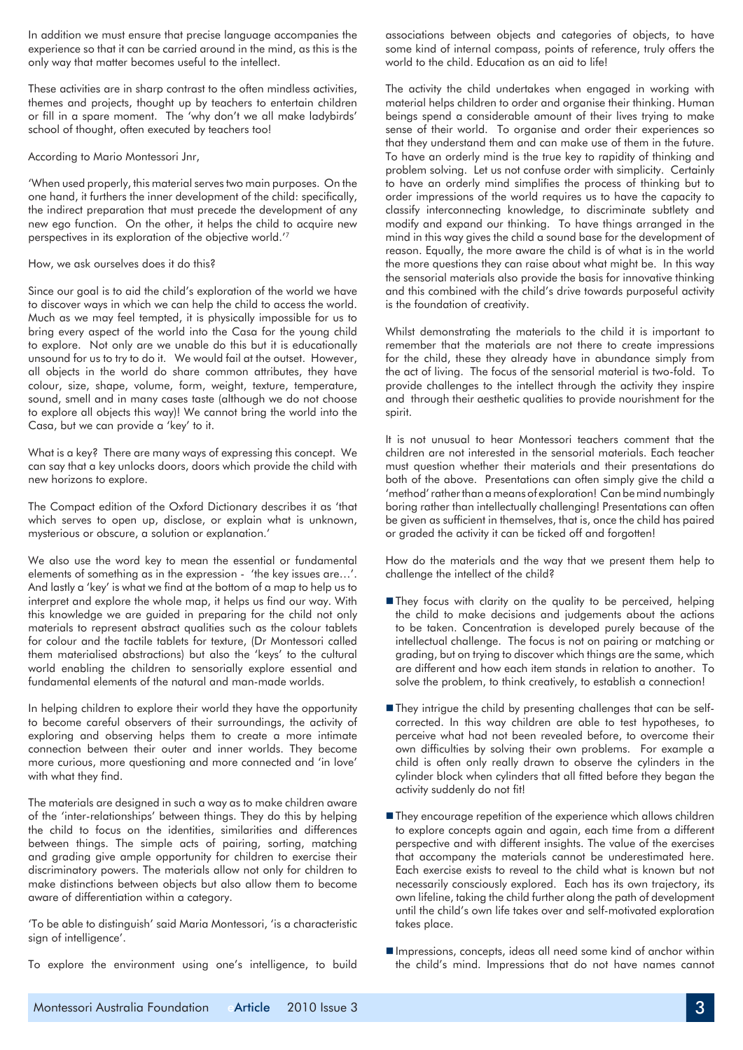In addition we must ensure that precise language accompanies the experience so that it can be carried around in the mind, as this is the only way that matter becomes useful to the intellect.

These activities are in sharp contrast to the often mindless activities, themes and projects, thought up by teachers to entertain children or fill in a spare moment. The 'why don't we all make ladybirds' school of thought, often executed by teachers too!

## According to Mario Montessori Jnr,

'When used properly, this material serves two main purposes. On the one hand, it furthers the inner development of the child: specifically, the indirect preparation that must precede the development of any new ego function. On the other, it helps the child to acquire new perspectives in its exploration of the objective world.'7

## How, we ask ourselves does it do this?

Since our goal is to aid the child's exploration of the world we have to discover ways in which we can help the child to access the world. Much as we may feel tempted, it is physically impossible for us to bring every aspect of the world into the Casa for the young child to explore. Not only are we unable do this but it is educationally unsound for us to try to do it. We would fail at the outset. However, all objects in the world do share common attributes, they have colour, size, shape, volume, form, weight, texture, temperature, sound, smell and in many cases taste (although we do not choose to explore all objects this way)! We cannot bring the world into the Casa, but we can provide a 'key' to it.

What is a key? There are many ways of expressing this concept. We can say that a key unlocks doors, doors which provide the child with new horizons to explore.

The Compact edition of the Oxford Dictionary describes it as 'that which serves to open up, disclose, or explain what is unknown, mysterious or obscure, a solution or explanation.'

We also use the word key to mean the essential or fundamental elements of something as in the expression - 'the key issues are...'. And lastly a 'key' is what we find at the bottom of a map to help us to interpret and explore the whole map, it helps us find our way. With this knowledge we are guided in preparing for the child not only materials to represent abstract qualities such as the colour tablets for colour and the tactile tablets for texture, (Dr Montessori called them materialised abstractions) but also the 'keys' to the cultural world enabling the children to sensorially explore essential and fundamental elements of the natural and man-made worlds.

In helping children to explore their world they have the opportunity to become careful observers of their surroundings, the activity of exploring and observing helps them to create a more intimate connection between their outer and inner worlds. They become more curious, more questioning and more connected and 'in love' with what they find.

The materials are designed in such a way as to make children aware of the 'inter-relationships' between things. They do this by helping the child to focus on the identities, similarities and differences between things. The simple acts of pairing, sorting, matching and grading give ample opportunity for children to exercise their discriminatory powers. The materials allow not only for children to make distinctions between objects but also allow them to become aware of differentiation within a category.

'To be able to distinguish' said Maria Montessori, 'is a characteristic sign of intelligence'.

To explore the environment using one's intelligence, to build

associations between objects and categories of objects, to have some kind of internal compass, points of reference, truly offers the world to the child. Education as an aid to life!

The activity the child undertakes when engaged in working with material helps children to order and organise their thinking. Human beings spend a considerable amount of their lives trying to make sense of their world. To organise and order their experiences so that they understand them and can make use of them in the future. To have an orderly mind is the true key to rapidity of thinking and problem solving. Let us not confuse order with simplicity. Certainly to have an orderly mind simplifies the process of thinking but to order impressions of the world requires us to have the capacity to classify interconnecting knowledge, to discriminate subtlety and modify and expand our thinking. To have things arranged in the mind in this way gives the child a sound base for the development of reason. Equally, the more aware the child is of what is in the world the more questions they can raise about what might be. In this way the sensorial materials also provide the basis for innovative thinking and this combined with the child's drive towards purposeful activity is the foundation of creativity.

Whilst demonstrating the materials to the child it is important to remember that the materials are not there to create impressions for the child, these they already have in abundance simply from the act of living. The focus of the sensorial material is two-fold. To provide challenges to the intellect through the activity they inspire and through their aesthetic qualities to provide nourishment for the spirit.

It is not unusual to hear Montessori teachers comment that the children are not interested in the sensorial materials. Each teacher must question whether their materials and their presentations do both of the above. Presentations can often simply give the child a 'method' rather than a means of exploration! Can be mind numbingly boring rather than intellectually challenging! Presentations can often be given as sufficient in themselves, that is, once the child has paired or graded the activity it can be ticked off and forgotten!

How do the materials and the way that we present them help to challenge the intellect of the child?

- They focus with clarity on the quality to be perceived, helping the child to make decisions and judgements about the actions to be taken. Concentration is developed purely because of the intellectual challenge. The focus is not on pairing or matching or grading, but on trying to discover which things are the same, which are different and how each item stands in relation to another. To solve the problem, to think creatively, to establish a connection!
- They intrigue the child by presenting challenges that can be selfcorrected. In this way children are able to test hypotheses, to perceive what had not been revealed before, to overcome their own difficulties by solving their own problems. For example a child is often only really drawn to observe the cylinders in the cylinder block when cylinders that all fitted before they began the activity suddenly do not fit!
- $\blacksquare$  They encourage repetition of the experience which allows children to explore concepts again and again, each time from a different perspective and with different insights. The value of the exercises that accompany the materials cannot be underestimated here. Each exercise exists to reveal to the child what is known but not necessarily consciously explored. Each has its own trajectory, its own lifeline, taking the child further along the path of development until the child's own life takes over and self-motivated exploration takes place.
- Impressions, concepts, ideas all need some kind of anchor within the child's mind. Impressions that do not have names cannot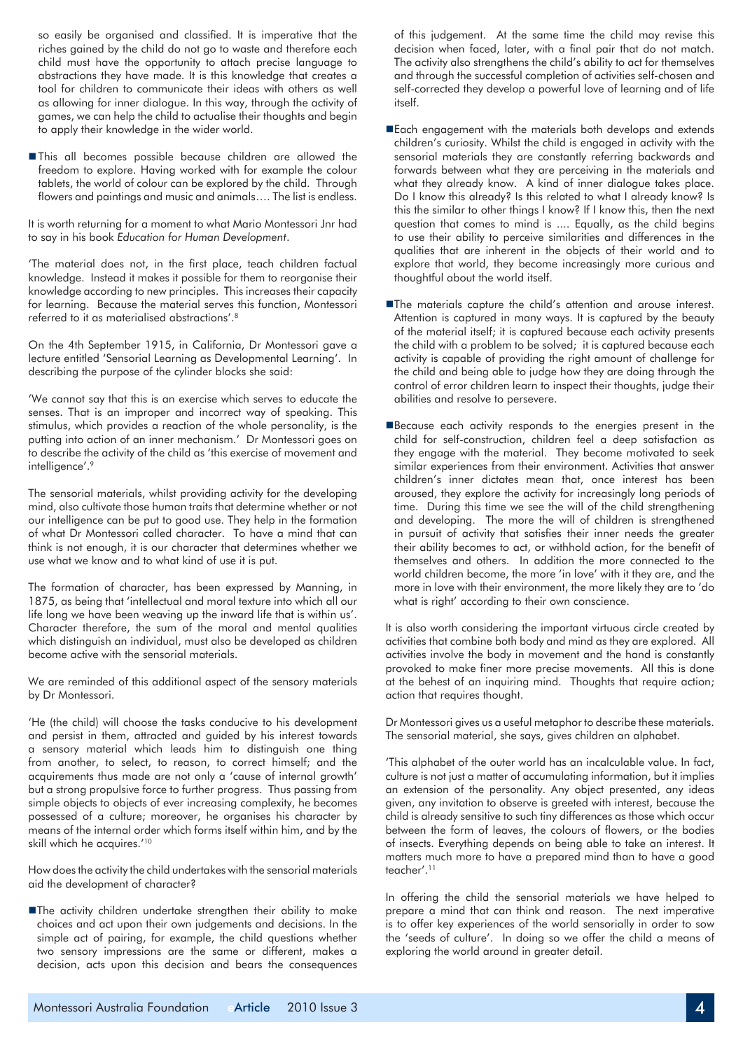so easily be organised and classified. It is imperative that the riches gained by the child do not go to waste and therefore each child must have the opportunity to attach precise language to abstractions they have made. It is this knowledge that creates a tool for children to communicate their ideas with others as well as allowing for inner dialogue. In this way, through the activity of games, we can help the child to actualise their thoughts and begin to apply their knowledge in the wider world.

nThis all becomes possible because children are allowed the freedom to explore. Having worked with for example the colour tablets, the world of colour can be explored by the child. Through flowers and paintings and music and animals…. The list is endless.

It is worth returning for a moment to what Mario Montessori Jnr had to say in his book *Education for Human Development*.

'The material does not, in the first place, teach children factual knowledge. Instead it makes it possible for them to reorganise their knowledge according to new principles. This increases their capacity for learning. Because the material serves this function, Montessori referred to it as materialised abstractions'.<sup>8</sup>

On the 4th September 1915, in California, Dr Montessori gave a lecture entitled 'Sensorial Learning as Developmental Learning'. In describing the purpose of the cylinder blocks she said:

'We cannot say that this is an exercise which serves to educate the senses. That is an improper and incorrect way of speaking. This stimulus, which provides a reaction of the whole personality, is the putting into action of an inner mechanism.' Dr Montessori goes on to describe the activity of the child as 'this exercise of movement and intelligence'.9

The sensorial materials, whilst providing activity for the developing mind, also cultivate those human traits that determine whether or not our intelligence can be put to good use. They help in the formation of what Dr Montessori called character. To have a mind that can think is not enough, it is our character that determines whether we use what we know and to what kind of use it is put.

The formation of character, has been expressed by Manning, in 1875, as being that 'intellectual and moral texture into which all our life long we have been weaving up the inward life that is within us'. Character therefore, the sum of the moral and mental qualities which distinguish an individual, must also be developed as children become active with the sensorial materials.

We are reminded of this additional aspect of the sensory materials by Dr Montessori.

'He (the child) will choose the tasks conducive to his development and persist in them, attracted and guided by his interest towards a sensory material which leads him to distinguish one thing from another, to select, to reason, to correct himself; and the acquirements thus made are not only a 'cause of internal growth' but a strong propulsive force to further progress. Thus passing from simple objects to objects of ever increasing complexity, he becomes possessed of a culture; moreover, he organises his character by means of the internal order which forms itself within him, and by the skill which he acquires.'10

How does the activity the child undertakes with the sensorial materials aid the development of character?

nThe activity children undertake strengthen their ability to make choices and act upon their own judgements and decisions. In the simple act of pairing, for example, the child questions whether two sensory impressions are the same or different, makes a decision, acts upon this decision and bears the consequences

of this judgement. At the same time the child may revise this decision when faced, later, with a final pair that do not match. The activity also strengthens the child's ability to act for themselves and through the successful completion of activities self-chosen and self-corrected they develop a powerful love of learning and of life itself.

- Each engagement with the materials both develops and extends children's curiosity. Whilst the child is engaged in activity with the sensorial materials they are constantly referring backwards and forwards between what they are perceiving in the materials and what they already know. A kind of inner dialogue takes place. Do I know this already? Is this related to what I already know? Is this the similar to other things I know? If I know this, then the next question that comes to mind is .... Equally, as the child begins to use their ability to perceive similarities and differences in the qualities that are inherent in the objects of their world and to explore that world, they become increasingly more curious and thoughtful about the world itself.
- ■The materials capture the child's attention and arouse interest. Attention is captured in many ways. It is captured by the beauty of the material itself; it is captured because each activity presents the child with a problem to be solved; it is captured because each activity is capable of providing the right amount of challenge for the child and being able to judge how they are doing through the control of error children learn to inspect their thoughts, judge their abilities and resolve to persevere.
- Because each activity responds to the energies present in the child for self-construction, children feel a deep satisfaction as they engage with the material. They become motivated to seek similar experiences from their environment. Activities that answer children's inner dictates mean that, once interest has been aroused, they explore the activity for increasingly long periods of time. During this time we see the will of the child strengthening and developing. The more the will of children is strengthened in pursuit of activity that satisfies their inner needs the greater their ability becomes to act, or withhold action, for the benefit of themselves and others. In addition the more connected to the world children become, the more 'in love' with it they are, and the more in love with their environment, the more likely they are to 'do what is right' according to their own conscience.

It is also worth considering the important virtuous circle created by activities that combine both body and mind as they are explored. All activities involve the body in movement and the hand is constantly provoked to make finer more precise movements. All this is done at the behest of an inquiring mind. Thoughts that require action; action that requires thought.

Dr Montessori gives us a useful metaphor to describe these materials. The sensorial material, she says, gives children an alphabet.

'This alphabet of the outer world has an incalculable value. In fact, culture is not just a matter of accumulating information, but it implies an extension of the personality. Any object presented, any ideas given, any invitation to observe is greeted with interest, because the child is already sensitive to such tiny differences as those which occur between the form of leaves, the colours of flowers, or the bodies of insects. Everything depends on being able to take an interest. It matters much more to have a prepared mind than to have a good teacher'.11

In offering the child the sensorial materials we have helped to prepare a mind that can think and reason. The next imperative is to offer key experiences of the world sensorially in order to sow the 'seeds of culture'. In doing so we offer the child a means of exploring the world around in greater detail.